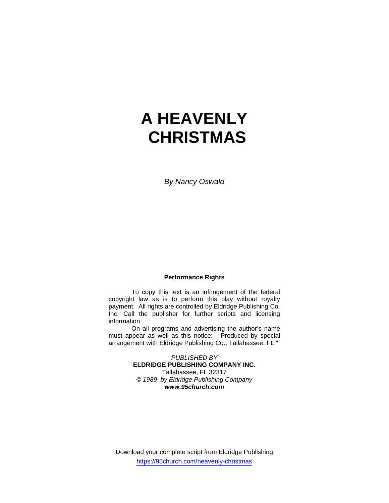# **A HEAVENLY CHRISTMAS**

*By Nancy Oswald* 

## **Performance Rights**

 To copy this text is an infringement of the federal copyright law as is to perform this play without royalty payment. All rights are controlled by Eldridge Publishing Co. Inc. Call the publisher for further scripts and licensing information.

 On all programs and advertising the author's name must appear as well as this notice: "Produced by special arrangement with Eldridge Publishing Co., Tallahassee, FL."

> *PUBLISHED BY*  **ELDRIDGE PUBLISHING COMPANY INC.** Tallahassee, FL 32317 *© 1989 by Eldridge Publishing Company www.95church.com*

Download your complete script from Eldridge Publishing https://95church.com/heavenly-christmas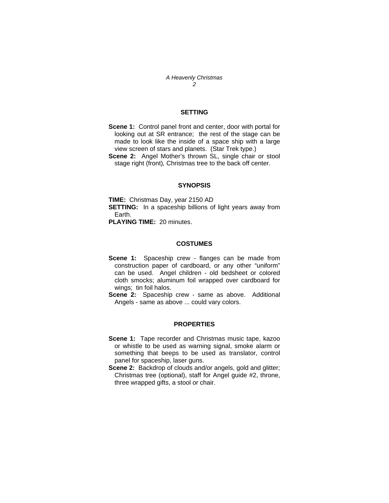*A Heavenly Christmas 2*

## **SETTING**

**Scene 1:** Control panel front and center, door with portal for looking out at SR entrance; the rest of the stage can be made to look like the inside of a space ship with a large view screen of stars and planets. (Star Trek type.)

**Scene 2:** Angel Mother's thrown SL, single chair or stool stage right (front)*,* Christmas tree to the back off center.

#### **SYNOPSIS**

**TIME:** Christmas Day, year 2150 AD **SETTING:** In a spaceship billions of light years away from Earth.

**PLAYING TIME:** 20 minutes.

#### **COSTUMES**

**Scene 1:** Spaceship crew - flanges can be made from construction paper of cardboard, or any other "uniform" can be used. Angel children - old bedsheet or colored cloth smocks; aluminum foil wrapped over cardboard for wings; tin foil halos.

**Scene 2:** Spaceship crew - same as above. Additional Angels - same as above ... could vary colors.

#### **PROPERTIES**

- **Scene 1:** Tape recorder and Christmas music tape, kazoo or whistle to be used as warning signal, smoke alarm or something that beeps to be used as translator, control panel for spaceship, laser guns.
- **Scene 2:** Backdrop of clouds and/or angels, gold and glitter; Christmas tree (optional), staff for Angel guide #2, throne, three wrapped gifts, a stool or chair.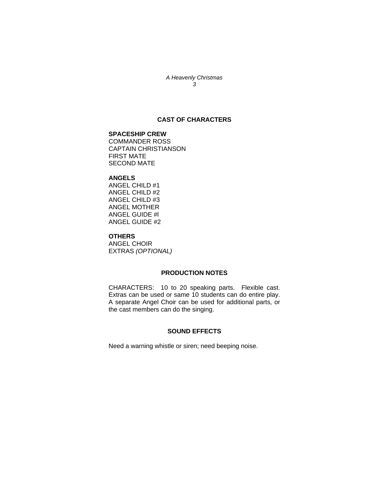#### *A Heavenly Christmas 3*

## **CAST OF CHARACTERS**

## **SPACESHIP CREW**

COMMANDER ROSS CAPTAIN CHRISTIANSON FIRST MATE SECOND MATE

## **ANGELS**

ANGEL CHILD #1 ANGEL CHILD #2 ANGEL CHILD #3 ANGEL MOTHER ANGEL GUIDE #l ANGEL GUIDE #2

### **OTHERS**

ANGEL CHOIR EXTRAS *(OPTIONAL)*

## **PRODUCTION NOTES**

CHARACTERS: 10 to 20 speaking parts. Flexible cast. Extras can be used or same 10 students can do entire play. A separate Angel Choir can be used for additional parts, or the cast members can do the singing.

## **SOUND EFFECTS**

Need a warning whistle or siren; need beeping noise.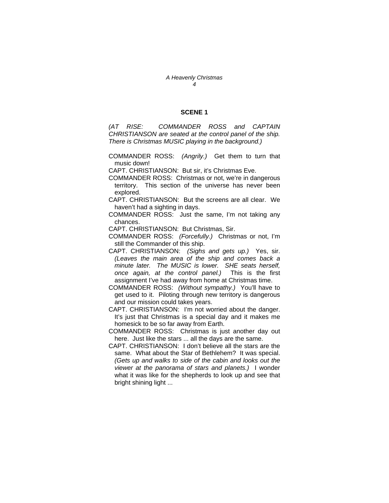### **SCENE 1**

*(AT RISE: COMMANDER ROSS and CAPTAIN CHRISTIANSON are seated at the control panel of the ship. There is Christmas MUSIC playing in the background.)* 

COMMANDER ROSS: *(Angrily.)* Get them to turn that music down!

CAPT. CHRISTIANSON: But sir, it's Christmas Eve.

- COMMANDER ROSS: Christmas or not, we're in dangerous territory. This section of the universe has never been explored.
- CAPT. CHRISTIANSON: But the screens are all clear. We haven't had a sighting in days.
- COMMANDER ROSS: Just the same, I'm not taking any chances.
- CAPT. CHRISTIANSON: But Christmas, Sir.
- COMMANDER ROSS: *(Forcefully.)* Christmas or not, I'm still the Commander of this ship.
- CAPT. CHRISTIANSON: *(Sighs and gets up.)* Yes, sir. *(Leaves the main area of the ship and comes back a minute later. The MUSIC is lower. SHE seats herself, once again, at the control panel.)* This is the first assignment I've had away from home at Christmas time.
- COMMANDER ROSS: *(Without sympathy.)* You'll have to get used to it. Piloting through new territory is dangerous and our mission could takes years.
- CAPT. CHRISTIANSON: I'm not worried about the danger. It's just that Christmas is a special day and it makes me homesick to be so far away from Earth.
- COMMANDER ROSS: Christmas is just another day out here. Just like the stars ... all the days are the same.
- CAPT. CHRISTIANSON: I don't believe all the stars are the same. What about the Star of Bethlehem? It was special. *(Gets up and walks to side of the cabin and looks out the viewer at the panorama of stars and planets.)* I wonder what it was like for the shepherds to look up and see that bright shining light ...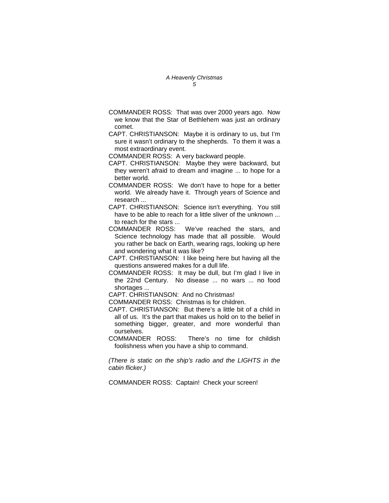- COMMANDER ROSS: That was over 2000 years ago. Now we know that the Star of Bethlehem was just an ordinary comet.
- CAPT. CHRISTIANSON: Maybe it is ordinary to us, but I'm sure it wasn't ordinary to the shepherds. To them it was a most extraordinary event.

COMMANDER ROSS: A very backward people.

- CAPT. CHRISTIANSON: Maybe they were backward, but they weren't afraid to dream and imagine ... to hope for a better world.
- COMMANDER ROSS: We don't have to hope for a better world. We already have it. Through years of Science and research ...
- CAPT. CHRISTIANSON: Science isn't everything. You still have to be able to reach for a little sliver of the unknown ... to reach for the stars ...
- COMMANDER ROSS: We've reached the stars, and Science technology has made that all possible. Would you rather be back on Earth, wearing rags, looking up here and wondering what it was like?
- CAPT. CHRISTIANSON: I like being here but having all the questions answered makes for a dull life.
- COMMANDER ROSS: It may be dull, but I'm glad I live in the 22nd Century. No disease ... no wars ... no food shortages ...

CAPT. CHRISTIANSON: And no Christmas!

COMMANDER ROSS: Christmas is for children.

- CAPT. CHRISTIANSON: But there's a little bit of a child in all of us. It's the part that makes us hold on to the belief in something bigger, greater, and more wonderful than ourselves.
- COMMANDER ROSS: There's no time for childish foolishness when you have a ship to command.

*(There is static on the ship's radio and the LIGHTS in the cabin flicker.)* 

COMMANDER ROSS: Captain! Check your screen!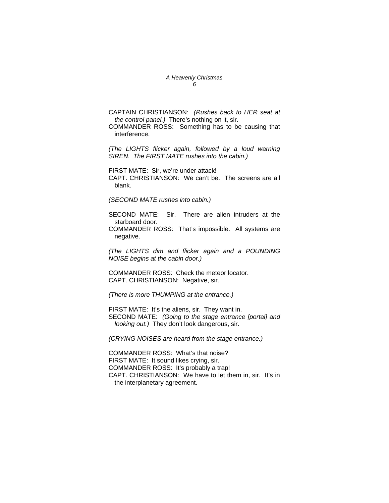#### *A Heavenly Christmas 6*

CAPTAIN CHRISTIANSON: *(Rushes back to HER seat at the control panel.)* There's nothing on it, sir.

COMMANDER ROSS: Something has to be causing that interference.

*(The LIGHTS flicker again, followed by a loud warning SIREN. The FIRST MATE rushes into the cabin.)* 

FIRST MATE: Sir, we're under attack! CAPT. CHRISTIANSON: We can't be. The screens are all blank.

*(SECOND MATE rushes into cabin.)* 

SECOND MATE: Sir. There are alien intruders at the starboard door.

COMMANDER ROSS: That's impossible. All systems are negative.

*(The LIGHTS dim and flicker again and a POUNDING NOISE begins at the cabin door.)* 

COMMANDER ROSS: Check the meteor locator. CAPT. CHRISTIANSON: Negative, sir.

*(There is more THUMPING at the entrance.)* 

FIRST MATE: It's the aliens, sir. They want in. SECOND MATE: *(Going to the stage entrance [portal] and looking out.)* They don't look dangerous, sir.

*(CRYING NOISES are heard from the stage entrance.)* 

COMMANDER ROSS: What's that noise? FIRST MATE: It sound likes crying, sir. COMMANDER ROSS: It's probably a trap! CAPT. CHRISTIANSON: We have to let them in, sir. It's in the interplanetary agreement.